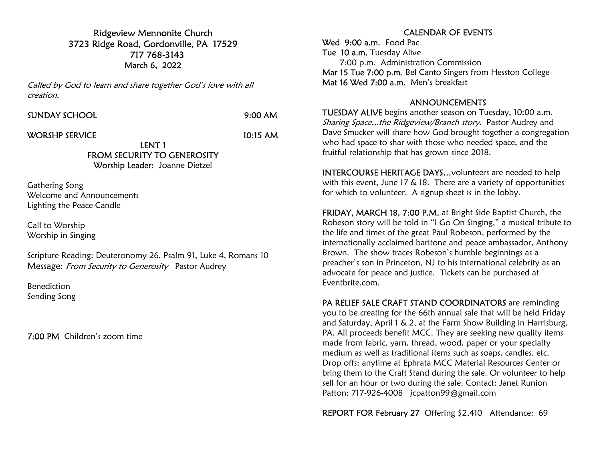Ridgeview Mennonite Church 3723 Ridge Road, Gordonville, PA 17529 717 768-3143 March 6, 2022

Called by God to learn and share together God's love with all creation.

SUNDAY SCHOOL 9:00 AM

WORSHP SERVICE 10:15 AM

LENT 1 FROM SECURITY TO GENEROSITY Worship Leader: Joanne Dietzel

Gathering Song Welcome and Announcements Lighting the Peace Candle

Call to Worship Worship in Singing

Scripture Reading: Deuteronomy 26, Psalm 91, Luke 4, Romans 10 Message: From Security to Generosity Pastor Audrey

Benediction Sending Song

7:00 PM Children's zoom time

## CALENDAR OF EVENTS

Wed 9:00 a.m. Food Pac Tue 10 a.m. Tuesday Alive 7:00 p.m. Administration Commission Mar 15 Tue 7:00 p.m. Bel Canto Singers from Hesston College Mat 16 Wed 7:00 a.m. Men's breakfast

## ANNOUNCEMENTS

TUESDAY ALIVE begins another season on Tuesday, 10:00 a.m. Sharing Space...the Ridgeview/Branch story. Pastor Audrey and Dave Smucker will share how God brought together a congregation who had space to shar with those who needed space, and the fruitful relationship that has grown since 2018.

INTERCOURSE HERITAGE DAYS…volunteers are needed to help with this event, June 17 & 18. There are a variety of opportunities for which to volunteer. A signup sheet is in the lobby.

FRIDAY, MARCH 18, 7:00 P.M. at Bright Side Baptist Church, the Robeson story will be told in "I Go On Singing," a musical tribute to the life and times of the great Paul Robeson, performed by the internationally acclaimed baritone and peace ambassador, Anthony Brown. The show traces Robeson's humble beginnings as a preacher's son in Princeton, NJ to his international celebrity as an advocate for peace and justice. Tickets can be purchased at Eventbrite.com.

PA RELIEF SALE CRAFT STAND COORDINATORS are reminding you to be creating for the 66th annual sale that will be held Friday and Saturday, April 1 & 2, at the Farm Show Building in Harrisburg, PA. All proceeds benefit MCC. They are seeking new quality items made from fabric, yarn, thread, wood, paper or your specialty medium as well as traditional items such as soaps, candles, etc. Drop offs: anytime at Ephrata MCC Material Resources Center or bring them to the Craft Stand during the sale. Or volunteer to help sell for an hour or two during the sale. Contact: Janet Runion Patton: 717-926-4008 jcpatton99@gmail.com

REPORT FOR February 27 Offering \$2,410 Attendance: 69